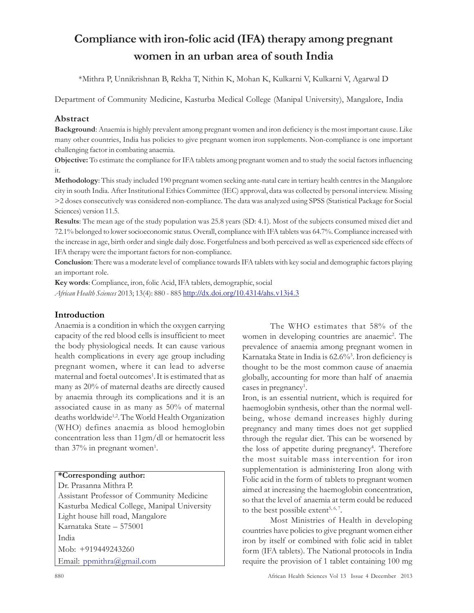# Compliance with iron-folic acid (IFA) therapy among pregnant women in an urban area of south India

\*Mithra P, Unnikrishnan B, Rekha T, Nithin K, Mohan K, Kulkarni V, Kulkarni V, Agarwal D

Department of Community Medicine, Kasturba Medical College (Manipal University), Mangalore, India

## Abstract

Background: Anaemia is highly prevalent among pregnant women and iron deficiency is the most important cause. Like many other countries, India has policies to give pregnant women iron supplements. Non-compliance is one important challenging factor in combating anaemia.

Objective: To estimate the compliance for IFA tablets among pregnant women and to study the social factors influencing it.

Methodology: This study included 190 pregnant women seeking ante-natal care in tertiary health centres in the Mangalore city in south India. After Institutional Ethics Committee (IEC) approval, data was collected by personal interview. Missing >2 doses consecutively was considered non-compliance. The data was analyzed using SPSS (Statistical Package for Social Sciences) version 11.5.

Results: The mean age of the study population was 25.8 years (SD: 4.1). Most of the subjects consumed mixed diet and 72.1% belonged to lower socioeconomic status. Overall, compliance with IFA tablets was 64.7%. Compliance increased with the increase in age, birth order and single daily dose. Forgetfulness and both perceived as well as experienced side effects of IFA therapy were the important factors for non-compliance.

Conclusion: There was a moderate level of compliance towards IFA tablets with key social and demographic factors playing an important role.

Key words: Compliance, iron, folic Acid, IFA tablets, demographic, social

African Health Sciences 2013; 13(4): 880 - 885 http://dx.doi.org/10.4314/ahs.v13i4.3

# Introduction

Anaemia is a condition in which the oxygen carrying capacity of the red blood cells is insufficient to meet the body physiological needs. It can cause various health complications in every age group including pregnant women, where it can lead to adverse maternal and foetal outcomes<sup>1</sup>. It is estimated that as many as 20% of maternal deaths are directly caused by anaemia through its complications and it is an associated cause in as many as 50% of maternal deaths worldwide<sup>1,2</sup>. The World Health Organization (WHO) defines anaemia as blood hemoglobin concentration less than 11gm/dl or hematocrit less than  $37\%$  in pregnant women<sup>1</sup>.

## \*Corresponding author:

Dr. Prasanna Mithra P. Assistant Professor of Community Medicine Kasturba Medical College, Manipal University Light house hill road, Mangalore Karnataka State – 575001 India Mob: +919449243260 Email: ppmithra@gmail.com

The WHO estimates that 58% of the women in developing countries are anaemic<sup>2</sup>. The prevalence of anaemia among pregnant women in Karnataka State in India is 62.6%<sup>3</sup>. Iron deficiency is thought to be the most common cause of anaemia globally, accounting for more than half of anaemia cases in pregnancy<sup>1</sup>.

Iron, is an essential nutrient, which is required for haemoglobin synthesis, other than the normal wellbeing, whose demand increases highly during pregnancy and many times does not get supplied through the regular diet. This can be worsened by the loss of appetite during pregnancy<sup>4</sup>. Therefore the most suitable mass intervention for iron supplementation is administering Iron along with Folic acid in the form of tablets to pregnant women aimed at increasing the haemoglobin concentration, so that the level of anaemia at term could be reduced to the best possible extent<sup>5, 6, 7</sup>.

Most Ministries of Health in developing countries have policies to give pregnant women either iron by itself or combined with folic acid in tablet form (IFA tablets). The National protocols in India require the provision of 1 tablet containing 100 mg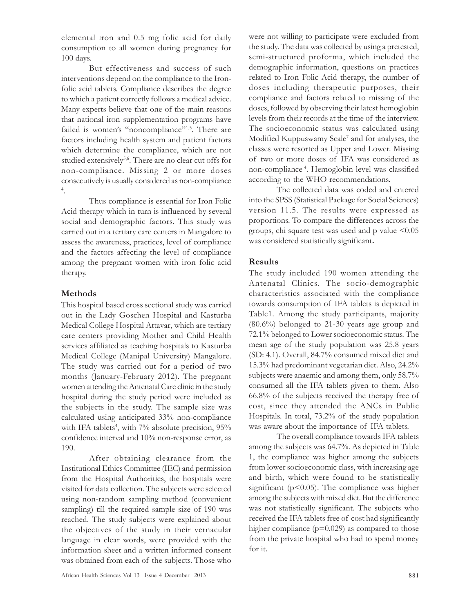elemental iron and 0.5 mg folic acid for daily consumption to all women during pregnancy for 100 days.

But effectiveness and success of such interventions depend on the compliance to the Ironfolic acid tablets. Compliance describes the degree to which a patient correctly follows a medical advice. Many experts believe that one of the main reasons that national iron supplementation programs have failed is women's "noncompliance"<sup>1,5</sup>. There are factors including health system and patient factors which determine the compliance, which are not studied extensively<sup>5,6</sup>. There are no clear cut offs for non-compliance. Missing 2 or more doses consecutively is usually considered as non-compliance 4 .

Thus compliance is essential for Iron Folic Acid therapy which in turn is influenced by several social and demographic factors. This study was carried out in a tertiary care centers in Mangalore to assess the awareness, practices, level of compliance and the factors affecting the level of compliance among the pregnant women with iron folic acid therapy.

## Methods

This hospital based cross sectional study was carried out in the Lady Goschen Hospital and Kasturba Medical College Hospital Attavar, which are tertiary care centers providing Mother and Child Health services affiliated as teaching hospitals to Kasturba Medical College (Manipal University) Mangalore. The study was carried out for a period of two months (January-February 2012). The pregnant women attending the Antenatal Care clinic in the study hospital during the study period were included as the subjects in the study. The sample size was calculated using anticipated 33% non-compliance with IFA tablets<sup>4</sup>, with 7% absolute precision, 95% confidence interval and 10% non-response error, as 190.

After obtaining clearance from the Institutional Ethics Committee (IEC) and permission from the Hospital Authorities, the hospitals were visited for data collection. The subjects were selected using non-random sampling method (convenient sampling) till the required sample size of 190 was reached. The study subjects were explained about the objectives of the study in their vernacular language in clear words, were provided with the information sheet and a written informed consent was obtained from each of the subjects. Those who were not willing to participate were excluded from the study. The data was collected by using a pretested, semi-structured proforma, which included the demographic information, questions on practices related to Iron Folic Acid therapy, the number of doses including therapeutic purposes, their compliance and factors related to missing of the doses, followed by observing their latest hemoglobin levels from their records at the time of the interview. The socioeconomic status was calculated using Modified Kuppuswamy Scale<sup>7</sup> and for analyses, the classes were resorted as Upper and Lower. Missing of two or more doses of IFA was considered as non-compliance<sup>4</sup>. Hemoglobin level was classified according to the WHO recommendations.

The collected data was coded and entered into the SPSS (Statistical Package for Social Sciences) version 11.5. The results were expressed as proportions. To compare the differences across the groups, chi square test was used and p value  $\leq 0.05$ was considered statistically significant.

# Results

The study included 190 women attending the Antenatal Clinics. The socio-demographic characteristics associated with the compliance towards consumption of IFA tablets is depicted in Table1. Among the study participants, majority (80.6%) belonged to 21-30 years age group and 72.1% belonged to Lower socioeconomic status. The mean age of the study population was 25.8 years (SD: 4.1). Overall, 84.7% consumed mixed diet and 15.3% had predominant vegetarian diet. Also, 24.2% subjects were anaemic and among them, only 58.7% consumed all the IFA tablets given to them. Also 66.8% of the subjects received the therapy free of cost, since they attended the ANCs in Public Hospitals. In total, 73.2% of the study population was aware about the importance of IFA tablets.

The overall compliance towards IFA tablets among the subjects was 64.7%. As depicted in Table 1, the compliance was higher among the subjects from lower socioeconomic class, with increasing age and birth, which were found to be statistically significant ( $p<0.05$ ). The compliance was higher among the subjects with mixed diet. But the difference was not statistically significant. The subjects who received the IFA tablets free of cost had significantly higher compliance  $(p=0.029)$  as compared to those from the private hospital who had to spend money for it.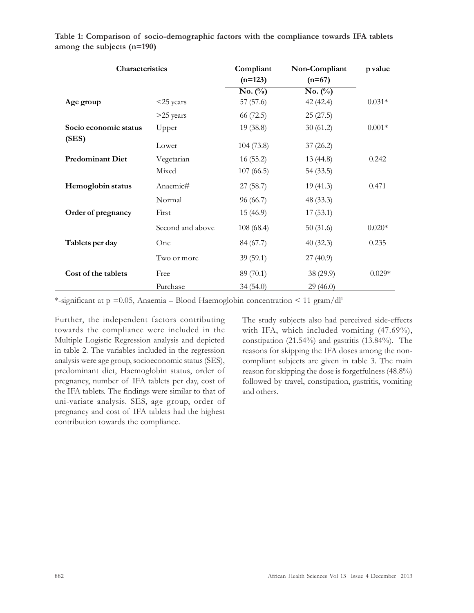| <b>Characteristics</b>         |                  | Compliant<br>$(n=123)$     | Non-Compliant<br>$(n=67)$   | p value  |  |
|--------------------------------|------------------|----------------------------|-----------------------------|----------|--|
|                                |                  | $\overline{{\rm No.}(\%)}$ | $\overline{\text{No.}(\%)}$ |          |  |
| Age group                      | $<$ 25 years     | 57(57.6)                   | 42 (42.4)                   | $0.031*$ |  |
|                                | $>25$ years      | 66 (72.5)                  | 25(27.5)                    |          |  |
| Socio economic status<br>(SES) | Upper            | 19 (38.8)                  | 30(61.2)                    | $0.001*$ |  |
|                                | Lower            | 104(73.8)                  | 37(26.2)                    |          |  |
| <b>Predominant Diet</b>        | Vegetarian       | 16(55.2)                   | 13(44.8)                    | 0.242    |  |
|                                | Mixed            | 107(66.5)                  | 54 (33.5)                   |          |  |
| Hemoglobin status              | Anaemic#         | 27(58.7)                   | 19(41.3)                    | 0.471    |  |
|                                | Normal           | 96(66.7)                   | 48 (33.3)                   |          |  |
| Order of pregnancy             | First            | 15(46.9)                   | 17(53.1)                    |          |  |
|                                | Second and above | 108(68.4)                  | 50(31.6)                    | $0.020*$ |  |
| Tablets per day                | One              | 84 (67.7)                  | 40(32.3)                    | 0.235    |  |
|                                | Two or more      | 39(59.1)                   | 27(40.9)                    |          |  |
| Cost of the tablets            | Free             | 89 (70.1)                  | 38 (29.9)                   | $0.029*$ |  |
|                                | Purchase         | 34(54.0)                   | 29(46.0)                    |          |  |

Table 1: Comparison of socio-demographic factors with the compliance towards IFA tablets among the subjects (n=190)

\*-significant at  $p = 0.05$ , Anaemia – Blood Haemoglobin concentration < 11 gram/dl<sup>1</sup>

Further, the independent factors contributing towards the compliance were included in the Multiple Logistic Regression analysis and depicted in table 2. The variables included in the regression analysis were age group, socioeconomic status (SES), predominant diet, Haemoglobin status, order of pregnancy, number of IFA tablets per day, cost of the IFA tablets. The findings were similar to that of uni-variate analysis. SES, age group, order of pregnancy and cost of IFA tablets had the highest contribution towards the compliance.

The study subjects also had perceived side-effects with IFA, which included vomiting (47.69%), constipation (21.54%) and gastritis (13.84%). The reasons for skipping the IFA doses among the noncompliant subjects are given in table 3. The main reason for skipping the dose is forgetfulness (48.8%) followed by travel, constipation, gastritis, vomiting and others.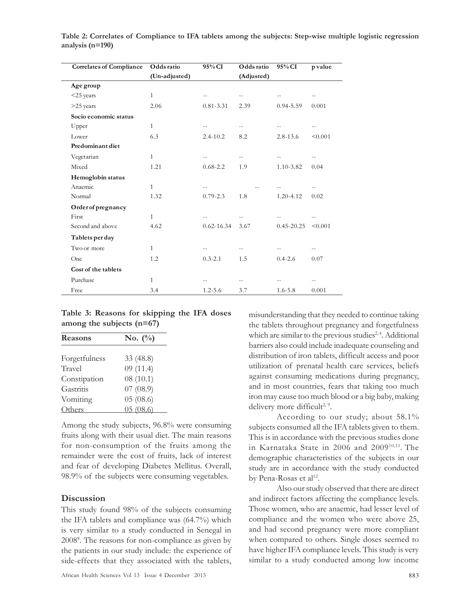| Table 2: Correlates of Compliance to IFA tablets among the subjects: Step-wise multiple logistic regression |  |  |  |  |
|-------------------------------------------------------------------------------------------------------------|--|--|--|--|
| analysis (n=190)                                                                                            |  |  |  |  |

| <b>Correlates of Compliance</b> | Odds ratio    | 95% CI         | Odds ratio | 95% CI         | p value |
|---------------------------------|---------------|----------------|------------|----------------|---------|
|                                 | (Un-adjusted) |                | (Adjusted) |                |         |
| Age group                       |               |                |            |                |         |
| $<$ 25 years                    | $\mathbf{1}$  |                | $-1$       |                |         |
| $>25$ years                     | 2.06          | $0.81 - 3.31$  | 2.39       | $0.94 - 5.59$  | 0.001   |
| Socio economic status           |               |                |            |                |         |
| Upper                           | $\mathbf{1}$  |                | $=$ $=$    |                | $-1$    |
| Lower                           | 6.3           | $2.4 - 10.2$   | 8.2        | $2.8 - 13.6$   | < 0.001 |
| Predominant diet                |               |                |            |                |         |
| Vegetarian                      | $\mathbf{1}$  |                | $-$        |                |         |
| Mixed                           | 1.21          | $0.68 - 2.2$   | 1.9        | 1.10-3.82      | 0.04    |
| Hemoglobin status               |               |                |            |                |         |
| Anaemic                         | $\mathbf{1}$  |                |            |                |         |
| Normal                          | 1.32          | $0.79 - 2.3$   | 1.8        | 1.20-4.12      | 0.02    |
| Order of pregnancy              |               |                |            |                |         |
| First                           | $\mathbf{1}$  |                |            |                |         |
| Second and above                | 4.62          | $0.62 - 16.34$ | 3.67       | $0.45 - 20.25$ | < 0.001 |
| Tablets per day                 |               |                |            |                |         |
| Two or more                     | $\mathbf{1}$  | $-$            | $-$        |                |         |
| One                             | 1.2           | $0.3 - 2.1$    | 1.5        | $0.4 - 2.6$    | 0.07    |
| Cost of the tablets             |               |                |            |                |         |
| Purchase                        | $\mathbf{1}$  |                |            |                |         |
| Free                            | 3.4           | $1.2 - 5.6$    | 3.7        | $1.6 - 5.8$    | 0.001   |

|  |                             | Table 3: Reasons for skipping the IFA doses |  |  |
|--|-----------------------------|---------------------------------------------|--|--|
|  | among the subjects $(n=67)$ |                                             |  |  |

| Reasons       | No. $(\%)$ |  |  |  |
|---------------|------------|--|--|--|
| Forgetfulness | 33 (48.8)  |  |  |  |
| Travel        | 09 (11.4)  |  |  |  |
| Constipation  | 08(10.1)   |  |  |  |
| Gastritis     | 07(08.9)   |  |  |  |
| Vomiting      | 05(08.6)   |  |  |  |
| Others        | 05(08.6)   |  |  |  |

Among the study subjects, 96.8% were consuming fruits along with their usual diet. The main reasons for non-consumption of the fruits among the remainder were the cost of fruits, lack of interest and fear of developing Diabetes Mellitus. Overall, 98.9% of the subjects were consuming vegetables.

#### Discussion

This study found 98% of the subjects consuming the IFA tablets and compliance was (64.7%) which is very similar to a study conducted in Senegal in 2008<sup>8</sup> . The reasons for non-compliance as given by the patients in our study include: the experience of side-effects that they associated with the tablets, misunderstanding that they needed to continue taking the tablets throughout pregnancy and forgetfulness which are similar to the previous studies<sup>2,4</sup>. Additional barriers also could include inadequate counseling and distribution of iron tablets, difficult access and poor utilization of prenatal health care services, beliefs against consuming medications during pregnancy, and in most countries, fears that taking too much iron may cause too much blood or a big baby, making delivery more difficult<sup>2, 9</sup>.

According to our study; about 58.1% subjects consumed all the IFA tablets given to them. This is in accordance with the previous studies done in Karnataka State in 2006 and 200910,11 . The demographic characteristics of the subjects in our study are in accordance with the study conducted by Pena-Rosas et al<sup>12</sup>.

Also our study observed that there are direct and indirect factors affecting the compliance levels. Those women, who are anaemic, had lesser level of compliance and the women who were above 25, and had second pregnancy were more compliant when compared to others. Single doses seemed to have higher IFA compliance levels. This study is very similar to a study conducted among low income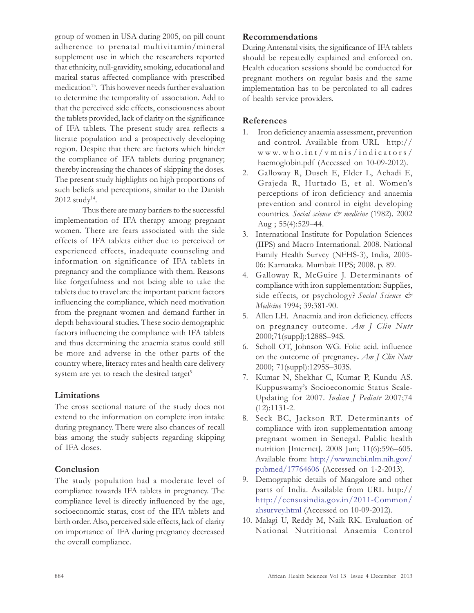group of women in USA during 2005, on pill count adherence to prenatal multivitamin/mineral supplement use in which the researchers reported that ethnicity, null-gravidity, smoking, educational and marital status affected compliance with prescribed medication<sup>13</sup>. This however needs further evaluation to determine the temporality of association. Add to that the perceived side effects, consciousness about the tablets provided, lack of clarity on the significance of IFA tablets. The present study area reflects a literate population and a prospectively developing region. Despite that there are factors which hinder the compliance of IFA tablets during pregnancy; thereby increasing the chances of skipping the doses. The present study highlights on high proportions of such beliefs and perceptions, similar to the Danish  $2012$  study<sup>14</sup>.

Thus there are many barriers to the successful implementation of IFA therapy among pregnant women. There are fears associated with the side effects of IFA tablets either due to perceived or experienced effects, inadequate counseling and information on significance of IFA tablets in pregnancy and the compliance with them. Reasons like forgetfulness and not being able to take the tablets due to travel are the important patient factors influencing the compliance, which need motivation from the pregnant women and demand further in depth behavioural studies. These socio demographic factors influencing the compliance with IFA tablets and thus determining the anaemia status could still be more and adverse in the other parts of the country where, literacy rates and health care delivery system are yet to reach the desired target<sup>9.</sup>

## Limitations

The cross sectional nature of the study does not extend to the information on complete iron intake during pregnancy. There were also chances of recall bias among the study subjects regarding skipping of IFA doses.

## Conclusion

The study population had a moderate level of compliance towards IFA tablets in pregnancy. The compliance level is directly influenced by the age, socioeconomic status, cost of the IFA tablets and birth order. Also, perceived side effects, lack of clarity on importance of IFA during pregnancy decreased the overall compliance.

#### Recommendations

During Antenatal visits, the significance of IFA tablets should be repeatedly explained and enforced on. Health education sessions should be conducted for pregnant mothers on regular basis and the same implementation has to be percolated to all cadres of health service providers.

#### References

- 1. Iron deficiency anaemia assessment, prevention and control. Available from URL http:// www. w h o .int/vmnis/indica tor s / haemoglobin.pdf (Accessed on 10-09-2012).
- 2. Galloway R, Dusch E, Elder L, Achadi E, Grajeda R, Hurtado E, et al. Women's perceptions of iron deficiency and anaemia prevention and control in eight developing countries. Social science & medicine (1982). 2002 Aug ; 55(4):529–44.
- 3. International Institute for Population Sciences (IIPS) and Macro International. 2008. National Family Health Survey (NFHS-3), India, 2005- 06: Karnataka. Mumbai: IIPS; 2008. p. 89.
- 4. Galloway R, McGuire J. Determinants of compliance with iron supplementation: Supplies, side effects, or psychology? Social Science & Medicine 1994; 39:381-90.
- 5. Allen LH. Anaemia and iron deficiency. effects on pregnancy outcome. Am J Clin Nutr 2000;71(suppl):1288S–94S.
- 6. Scholl OT, Johnson WG. Folic acid. influence on the outcome of pregnancy.  $Am\,$  *Clin* Nutr 2000; 71(suppl):1295S–303S.
- 7. Kumar N, Shekhar C, Kumar P, Kundu AS. Kuppuswamy's Socioeconomic Status Scale-Updating for 2007. Indian J Pediatr 2007;74 (12):1131-2.
- 8. Seck BC, Jackson RT. Determinants of compliance with iron supplementation among pregnant women in Senegal. Public health nutrition [Internet]. 2008 Jun; 11(6):596–605. Available from: http://www.ncbi.nlm.nih.gov/ pubmed/17764606 (Accessed on 1-2-2013).
- 9. Demographic details of Mangalore and other parts of India. Available from URL http:// http://censusindia.gov.in/2011-Common/ ahsurvey.html (Accessed on 10-09-2012).
- 10. Malagi U, Reddy M, Naik RK. Evaluation of National Nutritional Anaemia Control